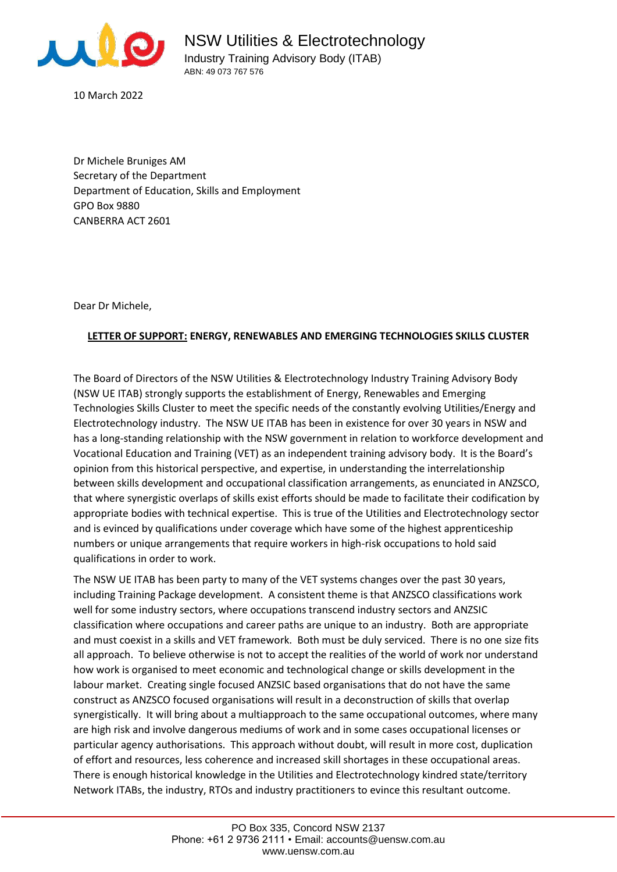

10 March 2022

Dr Michele Bruniges AM Secretary of the Department Department of Education, Skills and Employment GPO Box 9880 CANBERRA ACT 2601

Dear Dr Michele,

## **LETTER OF SUPPORT: ENERGY, RENEWABLES AND EMERGING TECHNOLOGIES SKILLS CLUSTER**

The Board of Directors of the NSW Utilities & Electrotechnology Industry Training Advisory Body (NSW UE ITAB) strongly supports the establishment of Energy, Renewables and Emerging Technologies Skills Cluster to meet the specific needs of the constantly evolving Utilities/Energy and Electrotechnology industry. The NSW UE ITAB has been in existence for over 30 years in NSW and has a long-standing relationship with the NSW government in relation to workforce development and Vocational Education and Training (VET) as an independent training advisory body. It is the Board's opinion from this historical perspective, and expertise, in understanding the interrelationship between skills development and occupational classification arrangements, as enunciated in ANZSCO, that where synergistic overlaps of skills exist efforts should be made to facilitate their codification by appropriate bodies with technical expertise. This is true of the Utilities and Electrotechnology sector and is evinced by qualifications under coverage which have some of the highest apprenticeship numbers or unique arrangements that require workers in high-risk occupations to hold said qualifications in order to work.

The NSW UE ITAB has been party to many of the VET systems changes over the past 30 years, including Training Package development. A consistent theme is that ANZSCO classifications work well for some industry sectors, where occupations transcend industry sectors and ANZSIC classification where occupations and career paths are unique to an industry. Both are appropriate and must coexist in a skills and VET framework. Both must be duly serviced. There is no one size fits all approach. To believe otherwise is not to accept the realities of the world of work nor understand how work is organised to meet economic and technological change or skills development in the labour market. Creating single focused ANZSIC based organisations that do not have the same construct as ANZSCO focused organisations will result in a deconstruction of skills that overlap synergistically. It will bring about a multiapproach to the same occupational outcomes, where many are high risk and involve dangerous mediums of work and in some cases occupational licenses or particular agency authorisations. This approach without doubt, will result in more cost, duplication of effort and resources, less coherence and increased skill shortages in these occupational areas. There is enough historical knowledge in the Utilities and Electrotechnology kindred state/territory Network ITABs, the industry, RTOs and industry practitioners to evince this resultant outcome.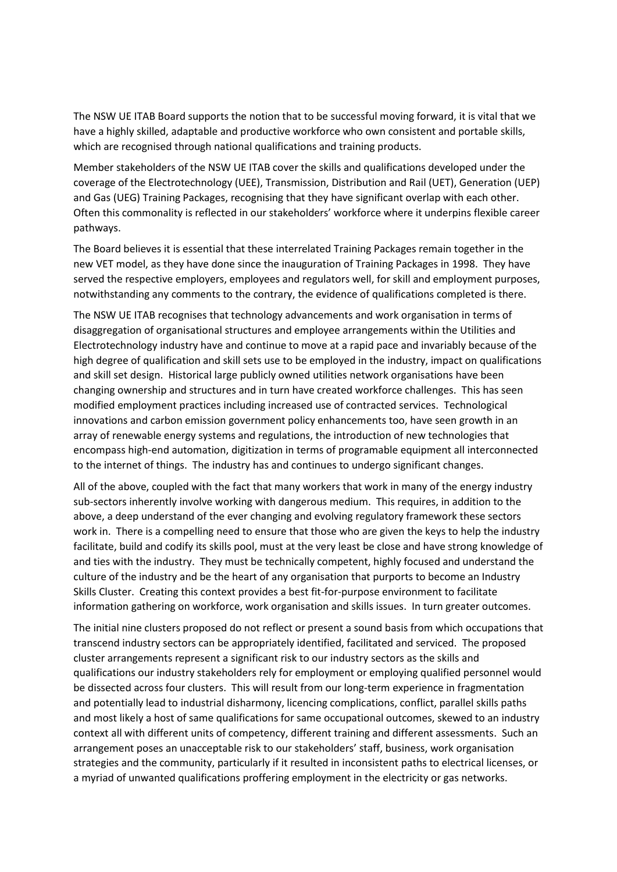The NSW UE ITAB Board supports the notion that to be successful moving forward, it is vital that we have a highly skilled, adaptable and productive workforce who own consistent and portable skills, which are recognised through national qualifications and training products.

Member stakeholders of the NSW UE ITAB cover the skills and qualifications developed under the coverage of the Electrotechnology (UEE), Transmission, Distribution and Rail (UET), Generation (UEP) and Gas (UEG) Training Packages, recognising that they have significant overlap with each other. Often this commonality is reflected in our stakeholders' workforce where it underpins flexible career pathways.

The Board believes it is essential that these interrelated Training Packages remain together in the new VET model, as they have done since the inauguration of Training Packages in 1998. They have served the respective employers, employees and regulators well, for skill and employment purposes, notwithstanding any comments to the contrary, the evidence of qualifications completed is there.

The NSW UE ITAB recognises that technology advancements and work organisation in terms of disaggregation of organisational structures and employee arrangements within the Utilities and Electrotechnology industry have and continue to move at a rapid pace and invariably because of the high degree of qualification and skill sets use to be employed in the industry, impact on qualifications and skill set design. Historical large publicly owned utilities network organisations have been changing ownership and structures and in turn have created workforce challenges. This has seen modified employment practices including increased use of contracted services. Technological innovations and carbon emission government policy enhancements too, have seen growth in an array of renewable energy systems and regulations, the introduction of new technologies that encompass high-end automation, digitization in terms of programable equipment all interconnected to the internet of things. The industry has and continues to undergo significant changes.

All of the above, coupled with the fact that many workers that work in many of the energy industry sub-sectors inherently involve working with dangerous medium. This requires, in addition to the above, a deep understand of the ever changing and evolving regulatory framework these sectors work in. There is a compelling need to ensure that those who are given the keys to help the industry facilitate, build and codify its skills pool, must at the very least be close and have strong knowledge of and ties with the industry. They must be technically competent, highly focused and understand the culture of the industry and be the heart of any organisation that purports to become an Industry Skills Cluster. Creating this context provides a best fit-for-purpose environment to facilitate information gathering on workforce, work organisation and skills issues. In turn greater outcomes.

The initial nine clusters proposed do not reflect or present a sound basis from which occupations that transcend industry sectors can be appropriately identified, facilitated and serviced. The proposed cluster arrangements represent a significant risk to our industry sectors as the skills and qualifications our industry stakeholders rely for employment or employing qualified personnel would be dissected across four clusters. This will result from our long-term experience in fragmentation and potentially lead to industrial disharmony, licencing complications, conflict, parallel skills paths and most likely a host of same qualifications for same occupational outcomes, skewed to an industry context all with different units of competency, different training and different assessments. Such an arrangement poses an unacceptable risk to our stakeholders' staff, business, work organisation strategies and the community, particularly if it resulted in inconsistent paths to electrical licenses, or a myriad of unwanted qualifications proffering employment in the electricity or gas networks.